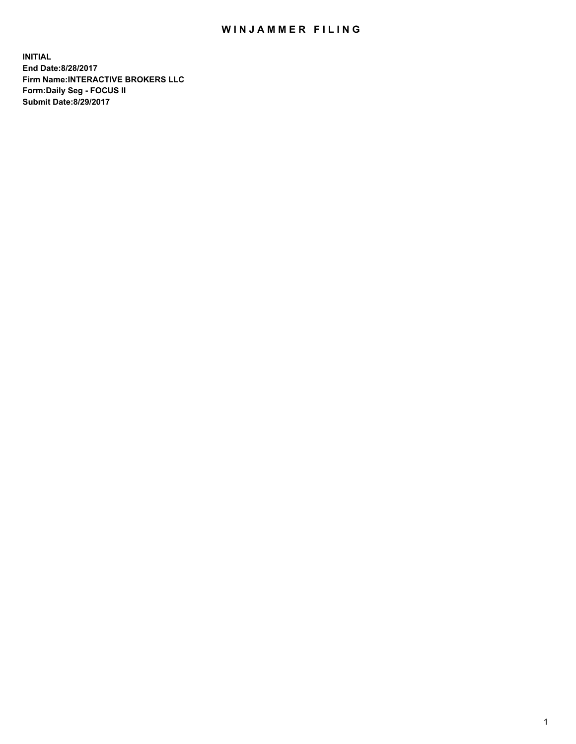## WIN JAMMER FILING

**INITIAL End Date:8/28/2017 Firm Name:INTERACTIVE BROKERS LLC Form:Daily Seg - FOCUS II Submit Date:8/29/2017**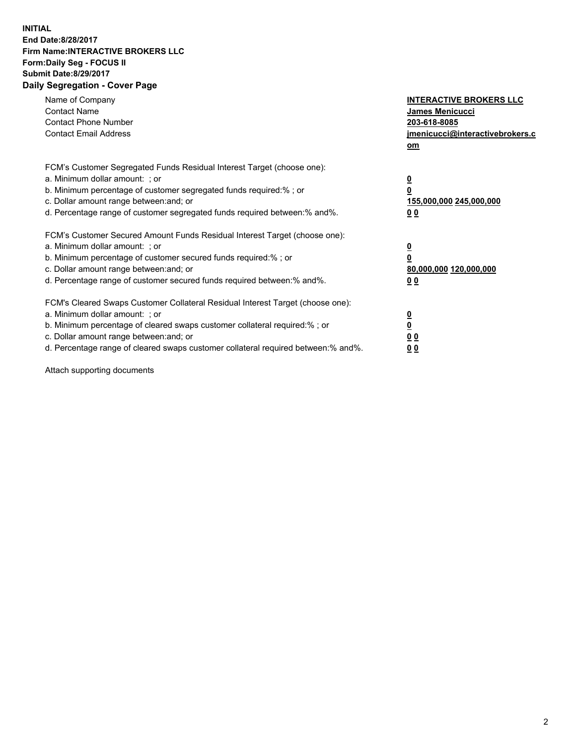## **INITIAL End Date:8/28/2017 Firm Name:INTERACTIVE BROKERS LLC Form:Daily Seg - FOCUS II Submit Date:8/29/2017 Daily Segregation - Cover Page**

| Name of Company<br><b>Contact Name</b><br><b>Contact Phone Number</b><br><b>Contact Email Address</b>                                                                                                                                                                                                                          | <b>INTERACTIVE BROKERS LLC</b><br>James Menicucci<br>203-618-8085<br>jmenicucci@interactivebrokers.c<br>om |
|--------------------------------------------------------------------------------------------------------------------------------------------------------------------------------------------------------------------------------------------------------------------------------------------------------------------------------|------------------------------------------------------------------------------------------------------------|
| FCM's Customer Segregated Funds Residual Interest Target (choose one):<br>a. Minimum dollar amount: ; or<br>b. Minimum percentage of customer segregated funds required:%; or<br>c. Dollar amount range between: and; or<br>d. Percentage range of customer segregated funds required between:% and%.                          | $\overline{\mathbf{0}}$<br>0<br>155,000,000 245,000,000<br>0 <sub>0</sub>                                  |
| FCM's Customer Secured Amount Funds Residual Interest Target (choose one):<br>a. Minimum dollar amount: ; or<br>b. Minimum percentage of customer secured funds required:%; or<br>c. Dollar amount range between: and; or<br>d. Percentage range of customer secured funds required between:% and%.                            | $\overline{\mathbf{0}}$<br>$\overline{\mathbf{0}}$<br>80,000,000 120,000,000<br>00                         |
| FCM's Cleared Swaps Customer Collateral Residual Interest Target (choose one):<br>a. Minimum dollar amount: ; or<br>b. Minimum percentage of cleared swaps customer collateral required:% ; or<br>c. Dollar amount range between: and; or<br>d. Percentage range of cleared swaps customer collateral required between:% and%. | $\overline{\mathbf{0}}$<br>$\overline{\mathbf{0}}$<br>0 <sub>0</sub><br><u>00</u>                          |

Attach supporting documents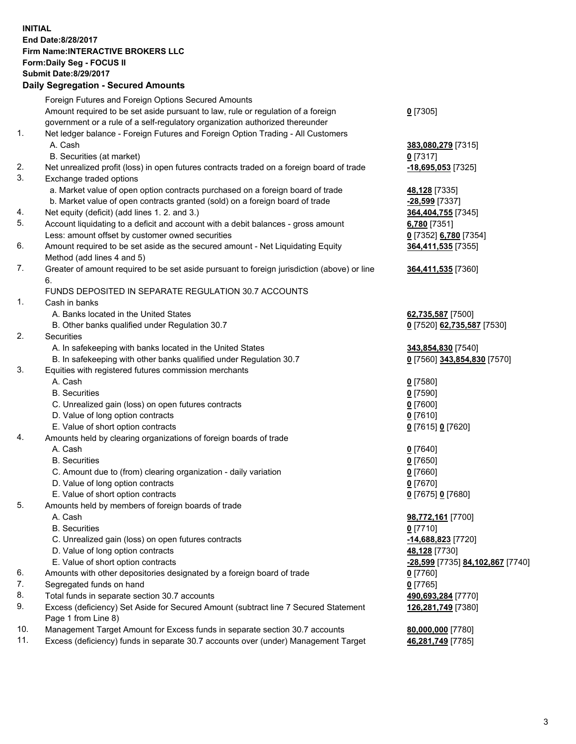## **INITIAL End Date:8/28/2017 Firm Name:INTERACTIVE BROKERS LLC Form:Daily Seg - FOCUS II Submit Date:8/29/2017 Daily Segregation - Secured Amounts**

|     | Dany Ocgregation - Oceanea Annoanta                                                         |                                  |
|-----|---------------------------------------------------------------------------------------------|----------------------------------|
|     | Foreign Futures and Foreign Options Secured Amounts                                         |                                  |
|     | Amount required to be set aside pursuant to law, rule or regulation of a foreign            | $0$ [7305]                       |
|     | government or a rule of a self-regulatory organization authorized thereunder                |                                  |
| 1.  | Net ledger balance - Foreign Futures and Foreign Option Trading - All Customers             |                                  |
|     | A. Cash                                                                                     | 383,080,279 [7315]               |
|     | B. Securities (at market)                                                                   | $0$ [7317]                       |
| 2.  | Net unrealized profit (loss) in open futures contracts traded on a foreign board of trade   | $-18,695,053$ [7325]             |
| 3.  | Exchange traded options                                                                     |                                  |
|     | a. Market value of open option contracts purchased on a foreign board of trade              | 48,128 [7335]                    |
|     | b. Market value of open contracts granted (sold) on a foreign board of trade                | -28,599 [7337]                   |
| 4.  | Net equity (deficit) (add lines 1.2. and 3.)                                                | 364,404,755 [7345]               |
| 5.  | Account liquidating to a deficit and account with a debit balances - gross amount           | 6,780 [7351]                     |
|     | Less: amount offset by customer owned securities                                            | 0 [7352] 6,780 [7354]            |
| 6.  | Amount required to be set aside as the secured amount - Net Liquidating Equity              | 364,411,535 [7355]               |
|     | Method (add lines 4 and 5)                                                                  |                                  |
| 7.  |                                                                                             |                                  |
|     | Greater of amount required to be set aside pursuant to foreign jurisdiction (above) or line | 364,411,535 [7360]               |
|     | 6.                                                                                          |                                  |
|     | FUNDS DEPOSITED IN SEPARATE REGULATION 30.7 ACCOUNTS                                        |                                  |
| 1.  | Cash in banks                                                                               |                                  |
|     | A. Banks located in the United States                                                       | 62,735,587 [7500]                |
|     | B. Other banks qualified under Regulation 30.7                                              | 0 [7520] 62,735,587 [7530]       |
| 2.  | Securities                                                                                  |                                  |
|     | A. In safekeeping with banks located in the United States                                   | 343,854,830 [7540]               |
|     | B. In safekeeping with other banks qualified under Regulation 30.7                          | 0 [7560] 343,854,830 [7570]      |
| 3.  | Equities with registered futures commission merchants                                       |                                  |
|     | A. Cash                                                                                     | $0$ [7580]                       |
|     | <b>B.</b> Securities                                                                        | $0$ [7590]                       |
|     | C. Unrealized gain (loss) on open futures contracts                                         | $0$ [7600]                       |
|     | D. Value of long option contracts                                                           | $0$ [7610]                       |
|     | E. Value of short option contracts                                                          | 0 [7615] 0 [7620]                |
| 4.  | Amounts held by clearing organizations of foreign boards of trade                           |                                  |
|     | A. Cash                                                                                     | $0$ [7640]                       |
|     | <b>B.</b> Securities                                                                        | $0$ [7650]                       |
|     | C. Amount due to (from) clearing organization - daily variation                             | $0$ [7660]                       |
|     | D. Value of long option contracts                                                           | $0$ [7670]                       |
|     | E. Value of short option contracts                                                          | 0 [7675] 0 [7680]                |
| 5.  | Amounts held by members of foreign boards of trade                                          |                                  |
|     | A. Cash                                                                                     | 98,772,161 [7700]                |
|     | <b>B.</b> Securities                                                                        | $0$ [7710]                       |
|     | C. Unrealized gain (loss) on open futures contracts                                         | $-14,688,823$ [7720]             |
|     | D. Value of long option contracts                                                           | 48,128 [7730]                    |
|     | E. Value of short option contracts                                                          | -28,599 [7735] 84,102,867 [7740] |
| 6.  | Amounts with other depositories designated by a foreign board of trade                      | 0 [7760]                         |
| 7.  | Segregated funds on hand                                                                    | $0$ [7765]                       |
| 8.  | Total funds in separate section 30.7 accounts                                               | 490,693,284 [7770]               |
| 9.  | Excess (deficiency) Set Aside for Secured Amount (subtract line 7 Secured Statement         | 126,281,749 [7380]               |
|     | Page 1 from Line 8)                                                                         |                                  |
| 10. | Management Target Amount for Excess funds in separate section 30.7 accounts                 | 80,000,000 [7780]                |
| 11. | Excess (deficiency) funds in separate 30.7 accounts over (under) Management Target          | 46,281,749 [7785]                |
|     |                                                                                             |                                  |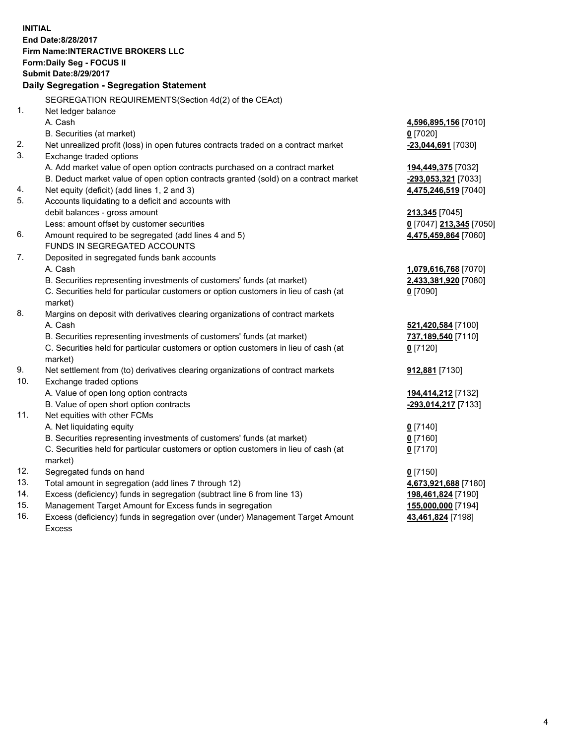**INITIAL End Date:8/28/2017 Firm Name:INTERACTIVE BROKERS LLC Form:Daily Seg - FOCUS II Submit Date:8/29/2017 Daily Segregation - Segregation Statement** SEGREGATION REQUIREMENTS(Section 4d(2) of the CEAct) 1. Net ledger balance A. Cash **4,596,895,156** [7010] B. Securities (at market) **0** [7020] 2. Net unrealized profit (loss) in open futures contracts traded on a contract market **-23,044,691** [7030] 3. Exchange traded options A. Add market value of open option contracts purchased on a contract market **194,449,375** [7032] B. Deduct market value of open option contracts granted (sold) on a contract market **-293,053,321** [7033] 4. Net equity (deficit) (add lines 1, 2 and 3) **4,475,246,519** [7040] 5. Accounts liquidating to a deficit and accounts with debit balances - gross amount **213,345** [7045] Less: amount offset by customer securities **0** [7047] **213,345** [7050] 6. Amount required to be segregated (add lines 4 and 5) **4,475,459,864** [7060] FUNDS IN SEGREGATED ACCOUNTS 7. Deposited in segregated funds bank accounts A. Cash **1,079,616,768** [7070] B. Securities representing investments of customers' funds (at market) **2,433,381,920** [7080] C. Securities held for particular customers or option customers in lieu of cash (at market) **0** [7090] 8. Margins on deposit with derivatives clearing organizations of contract markets A. Cash **521,420,584** [7100] B. Securities representing investments of customers' funds (at market) **737,189,540** [7110] C. Securities held for particular customers or option customers in lieu of cash (at market) **0** [7120] 9. Net settlement from (to) derivatives clearing organizations of contract markets **912,881** [7130] 10. Exchange traded options A. Value of open long option contracts **194,414,212** [7132] B. Value of open short option contracts **-293,014,217** [7133] 11. Net equities with other FCMs A. Net liquidating equity **0** [7140] B. Securities representing investments of customers' funds (at market) **0** [7160] C. Securities held for particular customers or option customers in lieu of cash (at market) **0** [7170] 12. Segregated funds on hand **0** [7150] 13. Total amount in segregation (add lines 7 through 12) **4,673,921,688** [7180] 14. Excess (deficiency) funds in segregation (subtract line 6 from line 13) **198,461,824** [7190] 15. Management Target Amount for Excess funds in segregation **155,000,000** [7194] 16. Excess (deficiency) funds in segregation over (under) Management Target Amount **43,461,824** [7198]

Excess